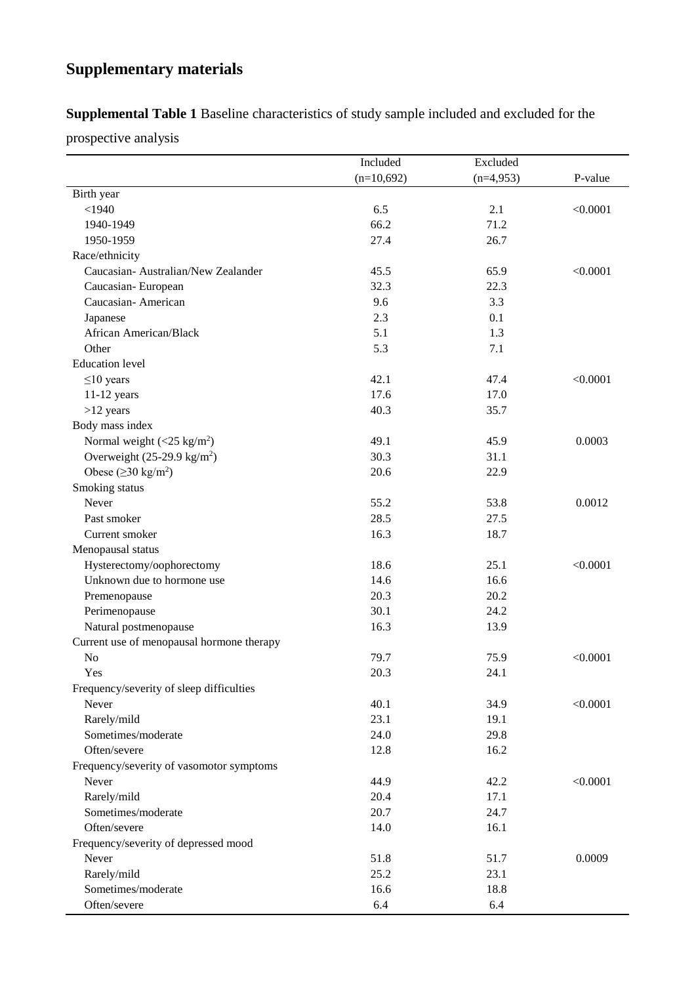## **Supplementary materials**

**Supplemental Table 1** Baseline characteristics of study sample included and excluded for the

prospective analysis

|                                           | Included     | Excluded    |          |
|-------------------------------------------|--------------|-------------|----------|
|                                           | $(n=10,692)$ | $(n=4,953)$ | P-value  |
| Birth year                                |              |             |          |
| $<$ 1940                                  | 6.5          | 2.1         | < 0.0001 |
| 1940-1949                                 | 66.2         | 71.2        |          |
| 1950-1959                                 | 27.4         | 26.7        |          |
| Race/ethnicity                            |              |             |          |
| Caucasian- Australian/New Zealander       | 45.5         | 65.9        | < 0.0001 |
| Caucasian-European                        | 32.3         | 22.3        |          |
| Caucasian-American                        | 9.6          | 3.3         |          |
| Japanese                                  | 2.3          | 0.1         |          |
| African American/Black                    | 5.1          | 1.3         |          |
| Other                                     | 5.3          | 7.1         |          |
| <b>Education</b> level                    |              |             |          |
| $\leq$ 10 years                           | 42.1         | 47.4        | < 0.0001 |
| $11-12$ years                             | 17.6         | 17.0        |          |
| $>12$ years                               | 40.3         | 35.7        |          |
| Body mass index                           |              |             |          |
| Normal weight $(<25 \text{ kg/m}^2)$      | 49.1         | 45.9        | 0.0003   |
| Overweight $(25-29.9 \text{ kg/m}^2)$     | 30.3         | 31.1        |          |
| Obese ( $\geq$ 30 kg/m <sup>2</sup> )     | 20.6         | 22.9        |          |
| Smoking status                            |              |             |          |
| Never                                     | 55.2         | 53.8        | 0.0012   |
| Past smoker                               | 28.5         | 27.5        |          |
| Current smoker                            | 16.3         | 18.7        |          |
| Menopausal status                         |              |             |          |
| Hysterectomy/oophorectomy                 | 18.6         | 25.1        | < 0.0001 |
| Unknown due to hormone use                | 14.6         | 16.6        |          |
| Premenopause                              | 20.3         | 20.2        |          |
| Perimenopause                             | 30.1         | 24.2        |          |
| Natural postmenopause                     | 16.3         | 13.9        |          |
| Current use of menopausal hormone therapy |              |             |          |
| N <sub>o</sub>                            | 79.7         | 75.9        | < 0.0001 |
| Yes                                       | 20.3         | 24.1        |          |
| Frequency/severity of sleep difficulties  |              |             |          |
| Never                                     | 40.1         | 34.9        | < 0.0001 |
| Rarely/mild                               | 23.1         | 19.1        |          |
| Sometimes/moderate                        | 24.0         | 29.8        |          |
| Often/severe                              | 12.8         | 16.2        |          |
| Frequency/severity of vasomotor symptoms  |              |             |          |
| Never                                     | 44.9         | 42.2        | < 0.0001 |
| Rarely/mild                               | 20.4         | 17.1        |          |
| Sometimes/moderate                        | 20.7         | 24.7        |          |
| Often/severe                              | 14.0         | 16.1        |          |
| Frequency/severity of depressed mood      |              |             |          |
| Never                                     | 51.8         | 51.7        | 0.0009   |
| Rarely/mild                               | 25.2         | 23.1        |          |
| Sometimes/moderate                        | 16.6         | 18.8        |          |
| Often/severe                              | 6.4          | 6.4         |          |